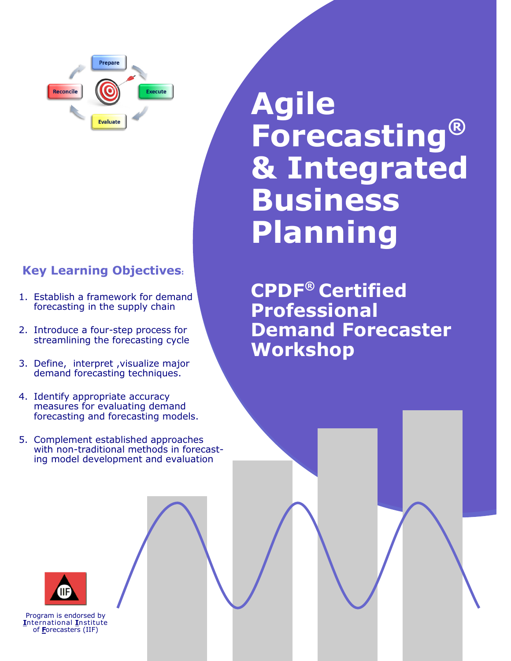

## **Key Learning Objectives:**

- 1. Establish a framework for demand forecasting in the supply chain
- 2. Introduce a four-step process for streamlining the forecasting cycle
- 3. Define, interpret ,visualize major demand forecasting techniques.
- 4. Identify appropriate accuracy measures for evaluating demand forecasting and forecasting models.
- 5. Complement established approaches with non-traditional methods in forecasting model development and evaluation

**Agile Forecasting® & Integrated Business Planning**

**CPDF® Certified Professional Demand Forecaster Workshop** 



Program is endorsed by **I**nternational **I**nstitute of **F**orecasters (IIF)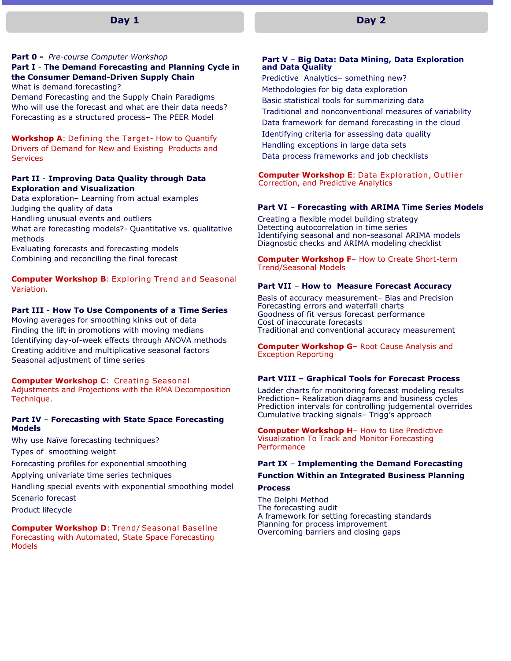## **Day 1**

#### **Part 0 -** *Pre-course Computer Workshop*

## **Part I** - **The Demand Forecasting and Planning Cycle in the Consumer Demand-Driven Supply Chain**

What is demand forecasting?

Demand Forecasting and the Supply Chain Paradigms Who will use the forecast and what are their data needs? Forecasting as a structured process– The PEER Model

**Workshop A**: Defining the Target- How to Quantify Drivers of Demand for New and Existing Products and **Services** 

## **Part II** - **Improving Data Quality through Data Exploration and Visualization**

Data exploration– Learning from actual examples Judging the quality of data Handling unusual events and outliers What are forecasting models?- Quantitative vs. qualitative methods Evaluating forecasts and forecasting models

Combining and reconciling the final forecast

**Computer Workshop B**: Exploring Trend and Seasonal Variation.

#### **Part III** - **How To Use Components of a Time Series**

Moving averages for smoothing kinks out of data Finding the lift in promotions with moving medians Identifying day-of-week effects through ANOVA methods Creating additive and multiplicative seasonal factors Seasonal adjustment of time series

#### **Computer Workshop C**: Creating Seasonal

Adjustments and Projections with the RMA Decomposition Technique.

#### **Part IV** – **Forecasting with State Space Forecasting Models**

Why use Naïve forecasting techniques?

Types of smoothing weight

Forecasting profiles for exponential smoothing

Applying univariate time series techniques

Handling special events with exponential smoothing model Scenario forecast

Product lifecycle

**Computer Workshop D**: Trend/ Seasonal Baseline Forecasting with Automated, State Space Forecasting Models

#### **Part V** – **Big Data: Data Mining, Data Exploration and Data Quality**

Predictive Analytics– something new? Methodologies for big data exploration Basic statistical tools for summarizing data Traditional and nonconventional measures of variability Data framework for demand forecasting in the cloud Identifying criteria for assessing data quality Handling exceptions in large data sets Data process frameworks and job checklists

**Computer Workshop E**: Data Exploration, Outlier Correction, and Predictive Analytics

#### **Part VI** – **Forecasting with ARIMA Time Series Models**

Creating a flexible model building strategy Detecting autocorrelation in time series Identifying seasonal and non-seasonal ARIMA models Diagnostic checks and ARIMA modeling checklist

**Computer Workshop F**– How to Create Short-term Trend/Seasonal Models

#### **Part VII** – **How to Measure Forecast Accuracy**

Basis of accuracy measurement– Bias and Precision Forecasting errors and waterfall charts Goodness of fit versus forecast performance Cost of inaccurate forecasts Traditional and conventional accuracy measurement

**Computer Workshop G**– Root Cause Analysis and Exception Reporting

#### **Part VIII – Graphical Tools for Forecast Process**

Ladder charts for monitoring forecast modeling results Prediction– Realization diagrams and business cycles Prediction intervals for controlling judgemental overrides Cumulative tracking signals– Trigg's approach

**Computer Workshop H**– How to Use Predictive Visualization To Track and Monitor Forecasting **Performance** 

## **Part IX** – **Implementing the Demand Forecasting**

## **Function Within an Integrated Business Planning**

#### **Process**

The Delphi Method The forecasting audit A framework for setting forecasting standards Planning for process improvement Overcoming barriers and closing gaps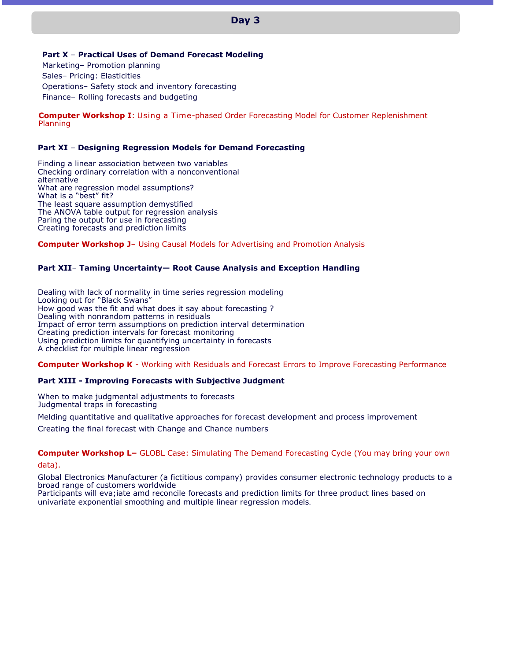## **Day 3**

**Part X** – **Practical Uses of Demand Forecast Modeling**

Marketing– Promotion planning Sales– Pricing: Elasticities Operations– Safety stock and inventory forecasting Finance– Rolling forecasts and budgeting

**Computer Workshop I**: Using a Time-phased Order Forecasting Model for Customer Replenishment Planning

## **Part XI** *–* **Designing Regression Models for Demand Forecasting**

Finding a linear association between two variables Checking ordinary correlation with a nonconventional alternative What are regression model assumptions? What is a "best" fit? The least square assumption demystified The ANOVA table output for regression analysis Paring the output for use in forecasting Creating forecasts and prediction limits

## **Computer Workshop J**– Using Causal Models for Advertising and Promotion Analysis

## **Part XII**– **Taming Uncertainty— Root Cause Analysis and Exception Handling**

Dealing with lack of normality in time series regression modeling Looking out for "Black Swans" How good was the fit and what does it say about forecasting? Dealing with nonrandom patterns in residuals Impact of error term assumptions on prediction interval determination Creating prediction intervals for forecast monitoring Using prediction limits for quantifying uncertainty in forecasts A checklist for multiple linear regression

**Computer Workshop K** - Working with Residuals and Forecast Errors to Improve Forecasting Performance

## **Part XIII - Improving Forecasts with Subjective Judgment**

When to make judgmental adjustments to forecasts Judgmental traps in forecasting

Melding quantitative and qualitative approaches for forecast development and process improvement

Creating the final forecast with Change and Chance numbers

**Computer Workshop L–** GLOBL Case: Simulating The Demand Forecasting Cycle (You may bring your own data).

Global Electronics Manufacturer (a fictitious company) provides consumer electronic technology products to a broad range of customers worldwide

Participants will eva;iate amd reconcile forecasts and prediction limits for three product lines based on univariate exponential smoothing and multiple linear regression models.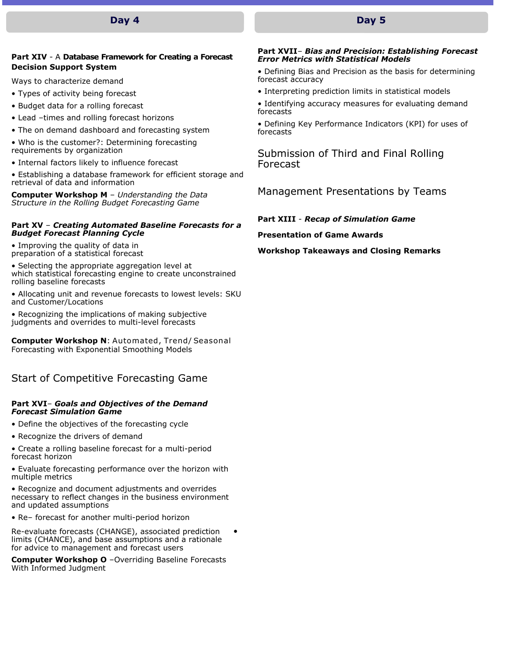## **Day 4**

## **Part XIV** - A **Database Framework for Creating a Forecast Decision Support System**

Ways to characterize demand

- Types of activity being forecast
- Budget data for a rolling forecast
- Lead –times and rolling forecast horizons
- The on demand dashboard and forecasting system
- Who is the customer?: Determining forecasting requirements by organization
- Internal factors likely to influence forecast
- Establishing a database framework for efficient storage and retrieval of data and information

**Computer Workshop M** – *Understanding the Data Structure in the Rolling Budget Forecasting Game*

## **Part XV** – *Creating Automated Baseline Forecasts for a Budget Forecast Planning Cycle*

• Improving the quality of data in preparation of a statistical forecast

• Selecting the appropriate aggregation level at which statistical forecasting engine to create unconstrained rolling baseline forecasts

• Allocating unit and revenue forecasts to lowest levels: SKU and Customer/Locations

• Recognizing the implications of making subjective judgments and overrides to multi-level forecasts

**Computer Workshop N**: Automated, Trend/ Seasonal Forecasting with Exponential Smoothing Models

## Start of Competitive Forecasting Game

## **Part XVI**– *Goals and Objectives of the Demand Forecast Simulation Game*

- Define the objectives of the forecasting cycle
- Recognize the drivers of demand
- Create a rolling baseline forecast for a multi-period forecast horizon
- Evaluate forecasting performance over the horizon with multiple metrics

• Recognize and document adjustments and overrides necessary to reflect changes in the business environment and updated assumptions

• Re– forecast for another multi-period horizon

Re-evaluate forecasts (CHANGE), associated prediction • limits (CHANCE), and base assumptions and a rationale for advice to management and forecast users

**Computer Workshop O** –Overriding Baseline Forecasts With Informed Judgment

#### **Part XVII***– Bias and Precision: Establishing Forecast Error Metrics with Statistical Models*

• Defining Bias and Precision as the basis for determining forecast accuracy

- Interpreting prediction limits in statistical models
- Identifying accuracy measures for evaluating demand forecasts

• Defining Key Performance Indicators (KPI) for uses of forecasts

Submission of Third and Final Rolling Forecast

Management Presentations by Teams

**Part XIII** - *Recap of Simulation Game*

**Presentation of Game Awards**

**Workshop Takeaways and Closing Remarks** 

## **Day 5**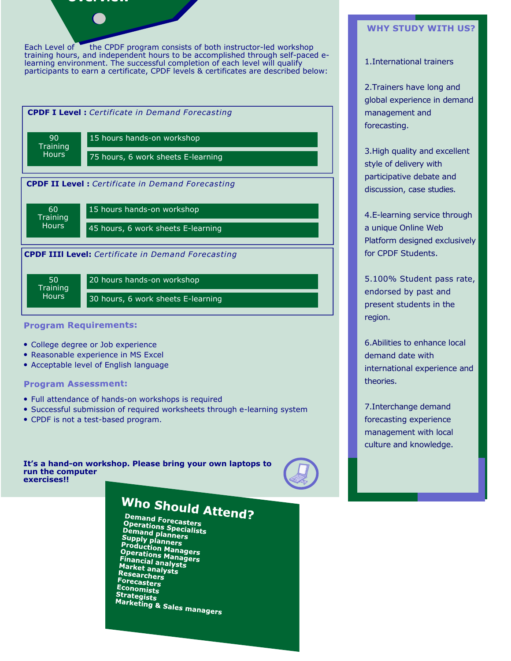## **Overview**

Each Level of **the CPDF program consists of both instructor-led workshop** training hours, and independent hours to be accomplished through self-paced elearning environment. The successful completion of each level will qualify participants to earn a certificate, CPDF levels & certificates are described below:



## **Program Requirements:**

- College degree or Job experience
- Reasonable experience in MS Excel
- Acceptable level of English language

## **Program Assessment:**

- Full attendance of hands-on workshops is required
- Successful submission of required worksheets through e-learning system
- CPDF is not a test-based program.

**It's a hand-on workshop. Please bring your own laptops to run the computer exercises!!** 



# Who Should Attend?

Demand Forecasters **Comand Forecasters<br>Operations Specialists<br>Demand planners Operations Specialists<br>Demand planners<br>Supply planners<br>Production Managers<br>Operations Managers<br>Financial analysts PPETATIONS Manager**<br>Financial analysts<br>Market analysts **Market analys**<br>Market analysts<br>Researchors Researchers Forecasters Economists Strategists **Callegists**<br>Marketing & Sales managers

## **WHY STUDY WITH US?**

## 1.International trainers

2.Trainers have long and global experience in demand management and forecasting.

3.High quality and excellent style of delivery with participative debate and discussion, case studies.

4.E-learning service through a unique Online Web Platform designed exclusively for CPDF Students.

5.100% Student pass rate, endorsed by past and present students in the region.

6.Abilities to enhance local demand date with international experience and theories.

7.Interchange demand forecasting experience management with local culture and knowledge.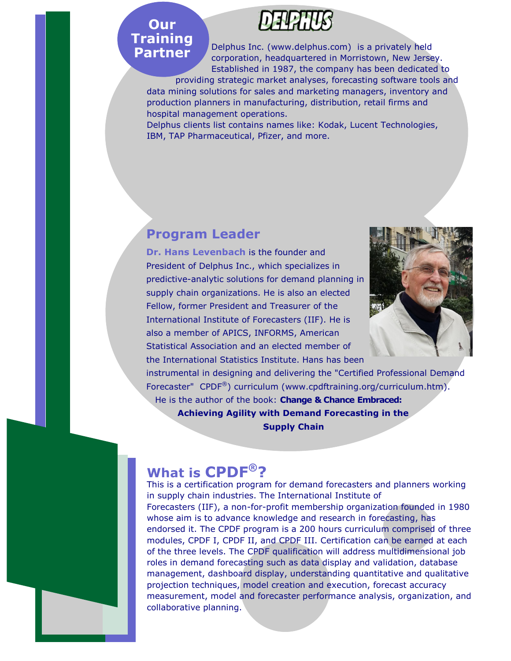## **Our Training Partner**

Delphus Inc. (www.delphus.com) is a privately held corporation, headquartered in Morristown, New Jersey. Established in 1987, the company has been dedicated to

providing strategic market analyses, forecasting software tools and data mining solutions for sales and marketing managers, inventory and production planners in manufacturing, distribution, retail firms and hospital management operations.

Delphus clients list contains names like: Kodak, Lucent Technologies, IBM, TAP Pharmaceutical, Pfizer, and more.

## **Program Leader**

**Dr. Hans Levenbach** is the founder and President of Delphus Inc., which specializes in predictive-analytic solutions for demand planning in supply chain organizations. He is also an elected Fellow, former President and Treasurer of the International Institute of Forecasters (IIF). He is also a member of APICS, INFORMS, American Statistical Association and an elected member of the International Statistics Institute. Hans has been



instrumental in designing and delivering the "Certified Professional Demand Forecaster" CPDF<sup>®</sup>) curriculum (www.cpdftraining.org/curriculum.htm).

 He is the author of the book: **Change & Chance Embraced: Achieving Agility with Demand Forecasting in the Supply Chain**

## **? ® What is CPDF**

This is a certification program for demand forecasters and planners working in supply chain industries. The International Institute of Forecasters (IIF), a non-for-profit membership organization founded in 1980 whose aim is to advance knowledge and research in forecasting, has endorsed it. The CPDF program is a 200 hours curriculum comprised of three modules, CPDF I, CPDF II, and CPDF III. Certification can be earned at each of the three levels. The CPDF qualification will address multidimensional job roles in demand forecasting such as data display and validation, database management, dashboard display, understanding quantitative and qualitative projection techniques, model creation and execution, forecast accuracy measurement, model and forecaster performance analysis, organization, and collaborative planning.